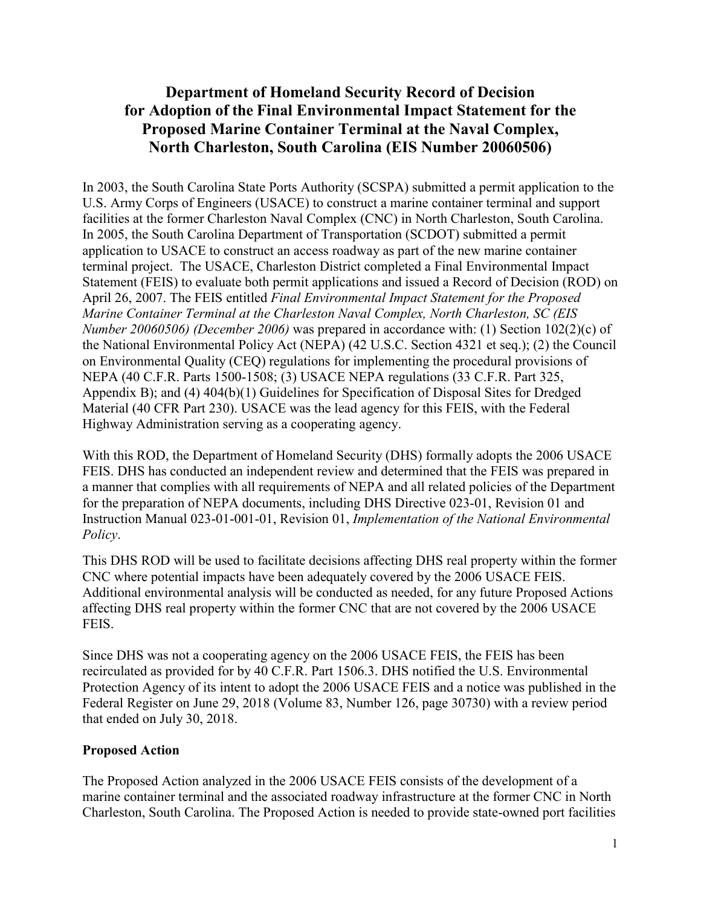# **Department of Homeland Security Record of Decision for Adoption of the Final Environmental Impact Statement for the Proposed Marine Container Terminal at the Naval Complex, North Charleston, South Carolina (EIS Number 20060506)**

In 2003, the South Carolina State Ports Authority (SCSPA) submitted a permit application to the U.S. Army Corps of Engineers (USACE) to construct a marine container terminal and support facilities at the former Charleston Naval Complex (CNC) in North Charleston, South Carolina. In 2005, the South Carolina Department of Transportation (SCDOT) submitted a permit application to USACE to construct an access roadway as part of the new marine container terminal project. The USACE, Charleston District completed a Final Environmental Impact Statement (FEIS) to evaluate both permit applications and issued a Record of Decision (ROD) on April 26, 2007. The FEIS entitled *Final Environmental Impact Statement for the Proposed Marine Container Terminal at the Charleston Naval Complex, North Charleston, SC (EIS Number 20060506) (December 2006)* was prepared in accordance with: (1) Section 102(2)(c) of the National Environmental Policy Act (NEPA) (42 U.S.C. Section 4321 et seq.); (2) the Council on Environmental Quality (CEQ) regulations for implementing the procedural provisions of NEPA (40 C.F.R. Parts 1500-1508; (3) USACE NEPA regulations (33 C.F.R. Part 325, Appendix B); and (4) 404(b)(1) Guidelines for Specification of Disposal Sites for Dredged Material (40 CFR Part 230). USACE was the lead agency for this FEIS, with the Federal Highway Administration serving as a cooperating agency.

With this ROD, the Department of Homeland Security (DHS) formally adopts the 2006 USACE FEIS. DHS has conducted an independent review and determined that the FEIS was prepared in a manner that complies with all requirements of NEPA and all related policies of the Department for the preparation of NEPA documents, including DHS Directive 023-01, Revision 01 and Instruction Manual 023-01-001-01, Revision 01, *Implementation of the National Environmental Policy*.

This DHS ROD will be used to facilitate decisions affecting DHS real property within the former CNC where potential impacts have been adequately covered by the 2006 USACE FEIS. Additional environmental analysis will be conducted as needed, for any future Proposed Actions affecting DHS real property within the former CNC that are not covered by the 2006 USACE FEIS.

Since DHS was not a cooperating agency on the 2006 USACE FEIS, the FEIS has been recirculated as provided for by 40 C.F.R. Part 1506.3. DHS notified the U.S. Environmental Protection Agency of its intent to adopt the 2006 USACE FEIS and a notice was published in the Federal Register on June 29, 2018 (Volume 83, Number 126, page 30730) with a review period that ended on July 30, 2018.

### **Proposed Action**

The Proposed Action analyzed in the 2006 USACE FEIS consists of the development of a marine container terminal and the associated roadway infrastructure at the former CNC in North Charleston, South Carolina. The Proposed Action is needed to provide state-owned port facilities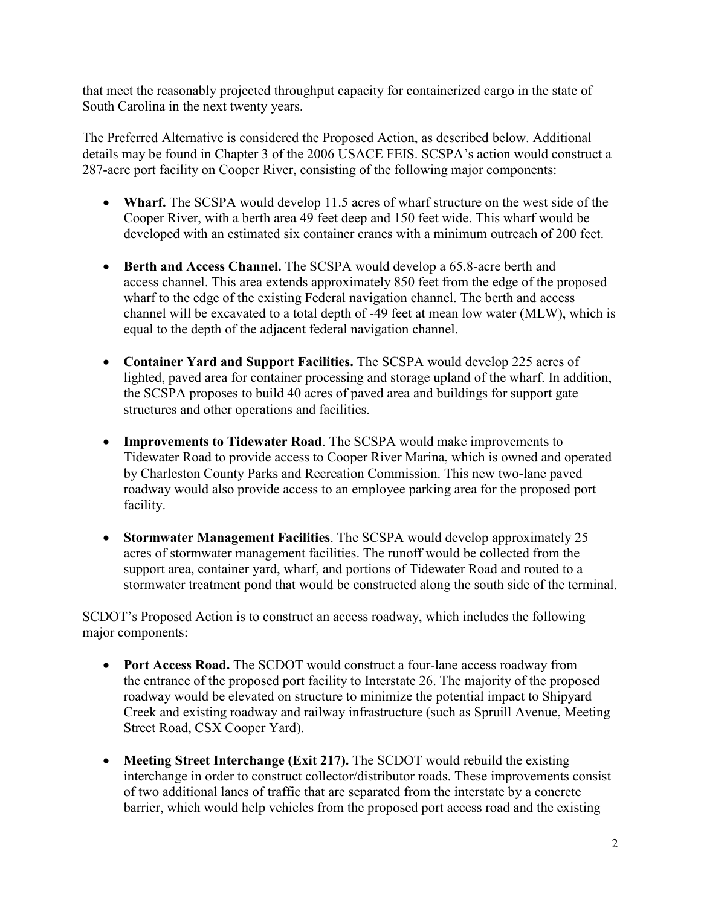that meet the reasonably projected throughput capacity for containerized cargo in the state of South Carolina in the next twenty years.

The Preferred Alternative is considered the Proposed Action, as described below. Additional details may be found in Chapter 3 of the 2006 USACE FEIS. SCSPA's action would construct a 287-acre port facility on Cooper River, consisting of the following major components:

- **Wharf.** The SCSPA would develop 11.5 acres of wharf structure on the west side of the Cooper River, with a berth area 49 feet deep and 150 feet wide. This wharf would be developed with an estimated six container cranes with a minimum outreach of 200 feet.
- **Berth and Access Channel.** The SCSPA would develop a 65.8-acre berth and access channel. This area extends approximately 850 feet from the edge of the proposed wharf to the edge of the existing Federal navigation channel. The berth and access channel will be excavated to a total depth of -49 feet at mean low water (MLW), which is equal to the depth of the adjacent federal navigation channel.
- **Container Yard and Support Facilities.** The SCSPA would develop 225 acres of lighted, paved area for container processing and storage upland of the wharf. In addition, the SCSPA proposes to build 40 acres of paved area and buildings for support gate structures and other operations and facilities.
- **Improvements to Tidewater Road**. The SCSPA would make improvements to Tidewater Road to provide access to Cooper River Marina, which is owned and operated by Charleston County Parks and Recreation Commission. This new two-lane paved roadway would also provide access to an employee parking area for the proposed port facility.
- **Stormwater Management Facilities**. The SCSPA would develop approximately 25 acres of stormwater management facilities. The runoff would be collected from the support area, container yard, wharf, and portions of Tidewater Road and routed to a stormwater treatment pond that would be constructed along the south side of the terminal.

SCDOT's Proposed Action is to construct an access roadway, which includes the following major components:

- **Port Access Road.** The SCDOT would construct a four-lane access roadway from the entrance of the proposed port facility to Interstate 26. The majority of the proposed roadway would be elevated on structure to minimize the potential impact to Shipyard Creek and existing roadway and railway infrastructure (such as Spruill Avenue, Meeting Street Road, CSX Cooper Yard).
- Meeting Street Interchange (Exit 217). The SCDOT would rebuild the existing interchange in order to construct collector/distributor roads. These improvements consist of two additional lanes of traffic that are separated from the interstate by a concrete barrier, which would help vehicles from the proposed port access road and the existing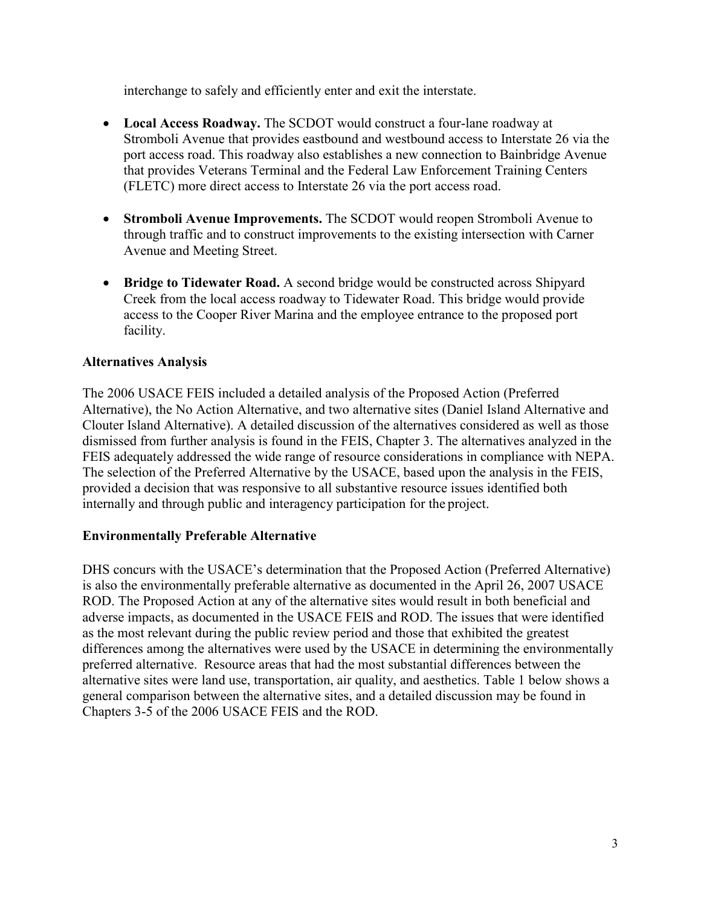interchange to safely and efficiently enter and exit the interstate.

- **Local Access Roadway.** The SCDOT would construct a four-lane roadway at Stromboli Avenue that provides eastbound and westbound access to Interstate 26 via the port access road. This roadway also establishes a new connection to Bainbridge Avenue that provides Veterans Terminal and the Federal Law Enforcement Training Centers (FLETC) more direct access to Interstate 26 via the port access road.
- **Stromboli Avenue Improvements.** The SCDOT would reopen Stromboli Avenue to through traffic and to construct improvements to the existing intersection with Carner Avenue and Meeting Street.
- **Bridge to Tidewater Road.** A second bridge would be constructed across Shipyard Creek from the local access roadway to Tidewater Road. This bridge would provide access to the Cooper River Marina and the employee entrance to the proposed port facility.

### **Alternatives Analysis**

The 2006 USACE FEIS included a detailed analysis of the Proposed Action (Preferred Alternative), the No Action Alternative, and two alternative sites (Daniel Island Alternative and Clouter Island Alternative). A detailed discussion of the alternatives considered as well as those dismissed from further analysis is found in the FEIS, Chapter 3. The alternatives analyzed in the FEIS adequately addressed the wide range of resource considerations in compliance with NEPA. The selection of the Preferred Alternative by the USACE, based upon the analysis in the FEIS, provided a decision that was responsive to all substantive resource issues identified both internally and through public and interagency participation for the project.

### **Environmentally Preferable Alternative**

DHS concurs with the USACE's determination that the Proposed Action (Preferred Alternative) is also the environmentally preferable alternative as documented in the April 26, 2007 USACE ROD. The Proposed Action at any of the alternative sites would result in both beneficial and adverse impacts, as documented in the USACE FEIS and ROD. The issues that were identified as the most relevant during the public review period and those that exhibited the greatest differences among the alternatives were used by the USACE in determining the environmentally preferred alternative. Resource areas that had the most substantial differences between the alternative sites were land use, transportation, air quality, and aesthetics. Table 1 below shows a general comparison between the alternative sites, and a detailed discussion may be found in Chapters 3-5 of the 2006 USACE FEIS and the ROD.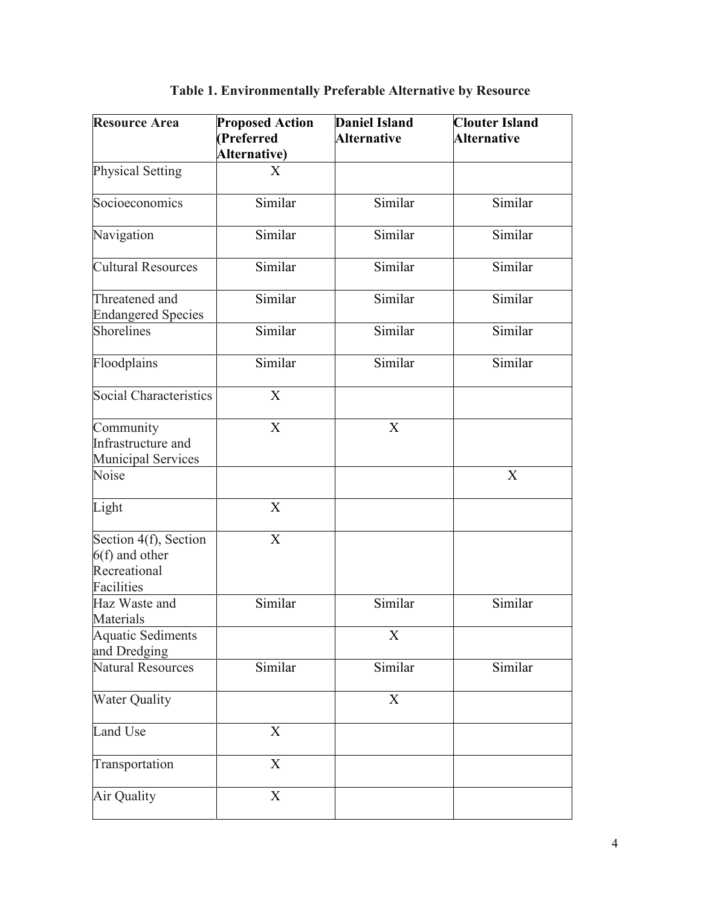| <b>Resource Area</b>                                                    | <b>Proposed Action</b><br>(Preferred | <b>Daniel Island</b><br><b>Alternative</b> | <b>Clouter Island</b><br><b>Alternative</b> |
|-------------------------------------------------------------------------|--------------------------------------|--------------------------------------------|---------------------------------------------|
|                                                                         | Alternative)                         |                                            |                                             |
| <b>Physical Setting</b>                                                 | X                                    |                                            |                                             |
| Socioeconomics                                                          | Similar                              | Similar                                    | Similar                                     |
| Navigation                                                              | Similar                              | Similar                                    | Similar                                     |
| <b>Cultural Resources</b>                                               | Similar                              | Similar                                    | Similar                                     |
| Threatened and<br><b>Endangered Species</b>                             | Similar                              | Similar                                    | Similar                                     |
| Shorelines                                                              | Similar                              | Similar                                    | Similar                                     |
| Floodplains                                                             | Similar                              | Similar                                    | Similar                                     |
| Social Characteristics                                                  | X                                    |                                            |                                             |
| Community<br>Infrastructure and<br><b>Municipal Services</b>            | X                                    | X                                          |                                             |
| Noise                                                                   |                                      |                                            | X                                           |
| Light                                                                   | X                                    |                                            |                                             |
| Section 4(f), Section<br>$6(f)$ and other<br>Recreational<br>Facilities | $\mathbf X$                          |                                            |                                             |
| Haz Waste and<br>Materials                                              | Similar                              | Similar                                    | Similar                                     |
| <b>Aquatic Sediments</b><br>and Dredging                                |                                      | X                                          |                                             |
| <b>Natural Resources</b>                                                | Similar                              | Similar                                    | Similar                                     |
| Water Quality                                                           |                                      | X                                          |                                             |
| Land Use                                                                | X                                    |                                            |                                             |
| Transportation                                                          | X                                    |                                            |                                             |
| Air Quality                                                             | $\overline{\text{X}}$                |                                            |                                             |

**Table 1. Environmentally Preferable Alternative by Resource**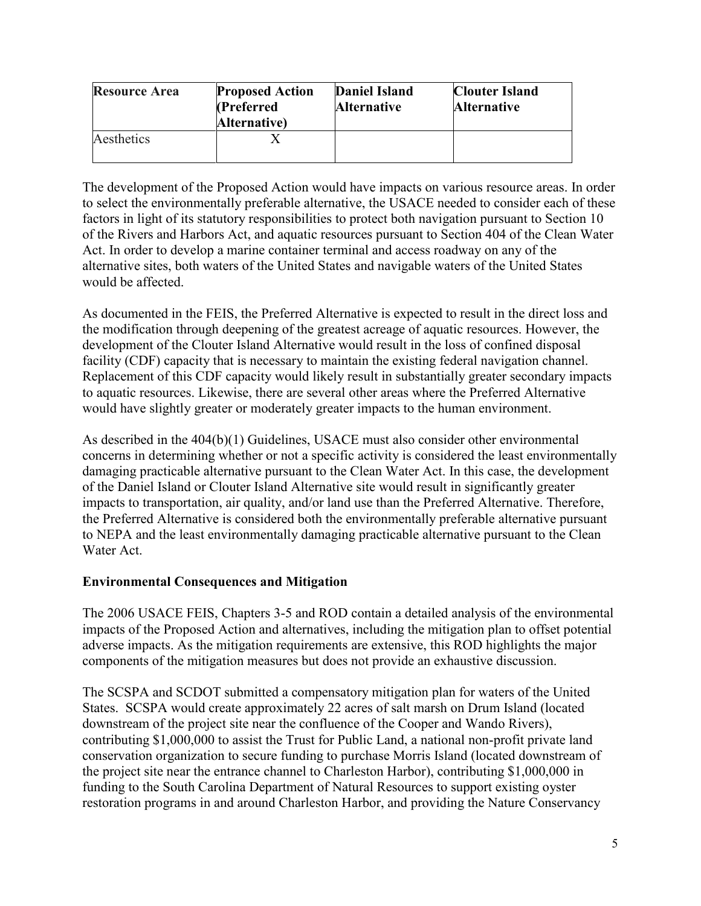| <b>Resource Area</b> | <b>Proposed Action</b><br>(Preferred<br>Alternative) | <b>Daniel Island</b><br><b>Alternative</b> | <b>Clouter Island</b><br><b>Alternative</b> |
|----------------------|------------------------------------------------------|--------------------------------------------|---------------------------------------------|
| Aesthetics           |                                                      |                                            |                                             |

The development of the Proposed Action would have impacts on various resource areas. In order to select the environmentally preferable alternative, the USACE needed to consider each of these factors in light of its statutory responsibilities to protect both navigation pursuant to Section 10 of the Rivers and Harbors Act, and aquatic resources pursuant to Section 404 of the Clean Water Act. In order to develop a marine container terminal and access roadway on any of the alternative sites, both waters of the United States and navigable waters of the United States would be affected.

As documented in the FEIS, the Preferred Alternative is expected to result in the direct loss and the modification through deepening of the greatest acreage of aquatic resources. However, the development of the Clouter Island Alternative would result in the loss of confined disposal facility (CDF) capacity that is necessary to maintain the existing federal navigation channel. Replacement of this CDF capacity would likely result in substantially greater secondary impacts to aquatic resources. Likewise, there are several other areas where the Preferred Alternative would have slightly greater or moderately greater impacts to the human environment.

As described in the 404(b)(1) Guidelines, USACE must also consider other environmental concerns in determining whether or not a specific activity is considered the least environmentally damaging practicable alternative pursuant to the Clean Water Act. In this case, the development of the Daniel Island or Clouter Island Alternative site would result in significantly greater impacts to transportation, air quality, and/or land use than the Preferred Alternative. Therefore, the Preferred Alternative is considered both the environmentally preferable alternative pursuant to NEPA and the least environmentally damaging practicable alternative pursuant to the Clean Water Act.

### **Environmental Consequences and Mitigation**

The 2006 USACE FEIS, Chapters 3-5 and ROD contain a detailed analysis of the environmental impacts of the Proposed Action and alternatives, including the mitigation plan to offset potential adverse impacts. As the mitigation requirements are extensive, this ROD highlights the major components of the mitigation measures but does not provide an exhaustive discussion.

The SCSPA and SCDOT submitted a compensatory mitigation plan for waters of the United States. SCSPA would create approximately 22 acres of salt marsh on Drum Island (located downstream of the project site near the confluence of the Cooper and Wando Rivers), contributing \$1,000,000 to assist the Trust for Public Land, a national non-profit private land conservation organization to secure funding to purchase Morris Island (located downstream of the project site near the entrance channel to Charleston Harbor), contributing \$1,000,000 in funding to the South Carolina Department of Natural Resources to support existing oyster restoration programs in and around Charleston Harbor, and providing the Nature Conservancy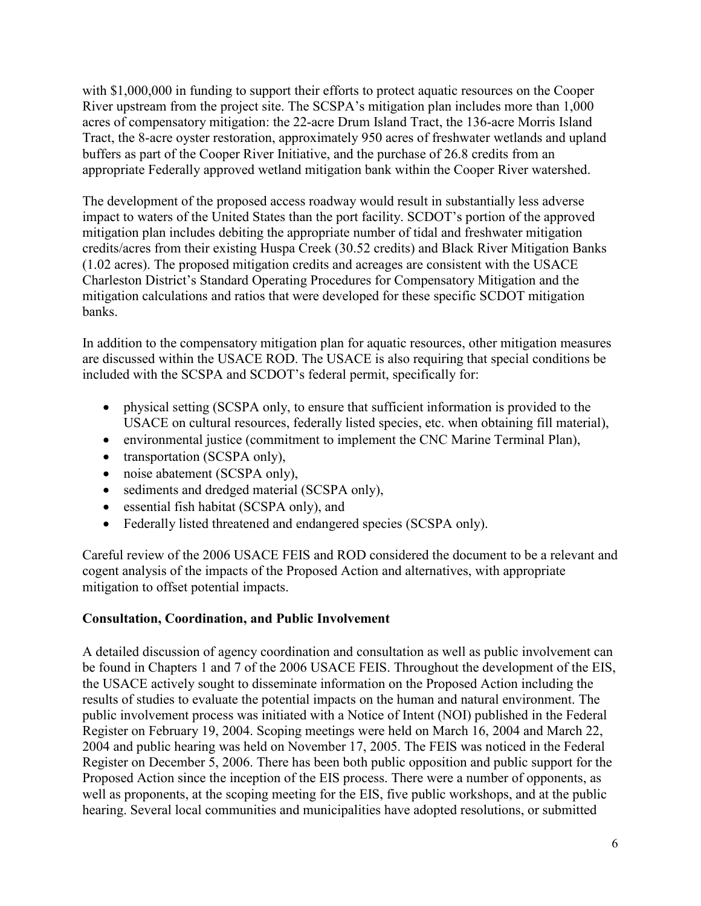with \$1,000,000 in funding to support their efforts to protect aquatic resources on the Cooper River upstream from the project site. The SCSPA's mitigation plan includes more than 1,000 acres of compensatory mitigation: the 22-acre Drum Island Tract, the 136-acre Morris Island Tract, the 8-acre oyster restoration, approximately 950 acres of freshwater wetlands and upland buffers as part of the Cooper River Initiative, and the purchase of 26.8 credits from an appropriate Federally approved wetland mitigation bank within the Cooper River watershed.

The development of the proposed access roadway would result in substantially less adverse impact to waters of the United States than the port facility. SCDOT's portion of the approved mitigation plan includes debiting the appropriate number of tidal and freshwater mitigation credits/acres from their existing Huspa Creek (30.52 credits) and Black River Mitigation Banks (1.02 acres). The proposed mitigation credits and acreages are consistent with the USACE Charleston District's Standard Operating Procedures for Compensatory Mitigation and the mitigation calculations and ratios that were developed for these specific SCDOT mitigation banks.

In addition to the compensatory mitigation plan for aquatic resources, other mitigation measures are discussed within the USACE ROD. The USACE is also requiring that special conditions be included with the SCSPA and SCDOT's federal permit, specifically for:

- physical setting (SCSPA only, to ensure that sufficient information is provided to the USACE on cultural resources, federally listed species, etc. when obtaining fill material),
- environmental justice (commitment to implement the CNC Marine Terminal Plan),
- transportation (SCSPA only),
- noise abatement (SCSPA only),
- sediments and dredged material (SCSPA only),
- essential fish habitat (SCSPA only), and
- Federally listed threatened and endangered species (SCSPA only).

Careful review of the 2006 USACE FEIS and ROD considered the document to be a relevant and cogent analysis of the impacts of the Proposed Action and alternatives, with appropriate mitigation to offset potential impacts.

### **Consultation, Coordination, and Public Involvement**

A detailed discussion of agency coordination and consultation as well as public involvement can be found in Chapters 1 and 7 of the 2006 USACE FEIS. Throughout the development of the EIS, the USACE actively sought to disseminate information on the Proposed Action including the results of studies to evaluate the potential impacts on the human and natural environment. The public involvement process was initiated with a Notice of Intent (NOI) published in the Federal Register on February 19, 2004. Scoping meetings were held on March 16, 2004 and March 22, 2004 and public hearing was held on November 17, 2005. The FEIS was noticed in the Federal Register on December 5, 2006. There has been both public opposition and public support for the Proposed Action since the inception of the EIS process. There were a number of opponents, as well as proponents, at the scoping meeting for the EIS, five public workshops, and at the public hearing. Several local communities and municipalities have adopted resolutions, or submitted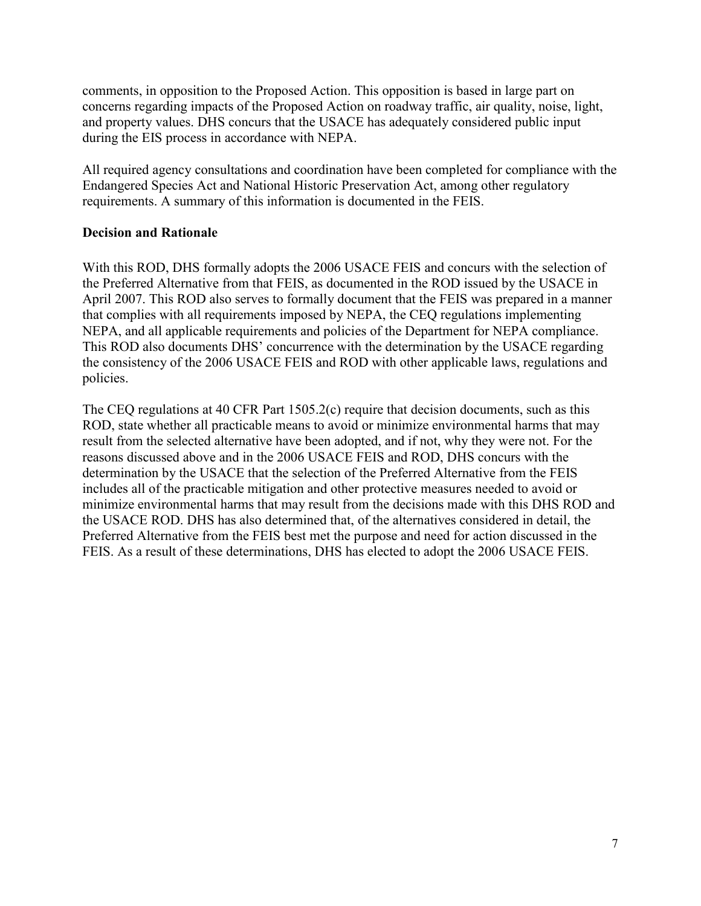comments, in opposition to the Proposed Action. This opposition is based in large part on concerns regarding impacts of the Proposed Action on roadway traffic, air quality, noise, light, and property values. DHS concurs that the USACE has adequately considered public input during the EIS process in accordance with NEPA.

All required agency consultations and coordination have been completed for compliance with the Endangered Species Act and National Historic Preservation Act, among other regulatory requirements. A summary of this information is documented in the FEIS.

#### **Decision and Rationale**

With this ROD, DHS formally adopts the 2006 USACE FEIS and concurs with the selection of the Preferred Alternative from that FEIS, as documented in the ROD issued by the USACE in April 2007. This ROD also serves to formally document that the FEIS was prepared in a manner that complies with all requirements imposed by NEPA, the CEQ regulations implementing NEPA, and all applicable requirements and policies of the Department for NEPA compliance. This ROD also documents DHS' concurrence with the determination by the USACE regarding the consistency of the 2006 USACE FEIS and ROD with other applicable laws, regulations and policies.

The CEQ regulations at 40 CFR Part 1505.2(c) require that decision documents, such as this ROD, state whether all practicable means to avoid or minimize environmental harms that may result from the selected alternative have been adopted, and if not, why they were not. For the reasons discussed above and in the 2006 USACE FEIS and ROD, DHS concurs with the determination by the USACE that the selection of the Preferred Alternative from the FEIS includes all of the practicable mitigation and other protective measures needed to avoid or minimize environmental harms that may result from the decisions made with this DHS ROD and the USACE ROD. DHS has also determined that, of the alternatives considered in detail, the Preferred Alternative from the FEIS best met the purpose and need for action discussed in the FEIS. As a result of these determinations, DHS has elected to adopt the 2006 USACE FEIS.